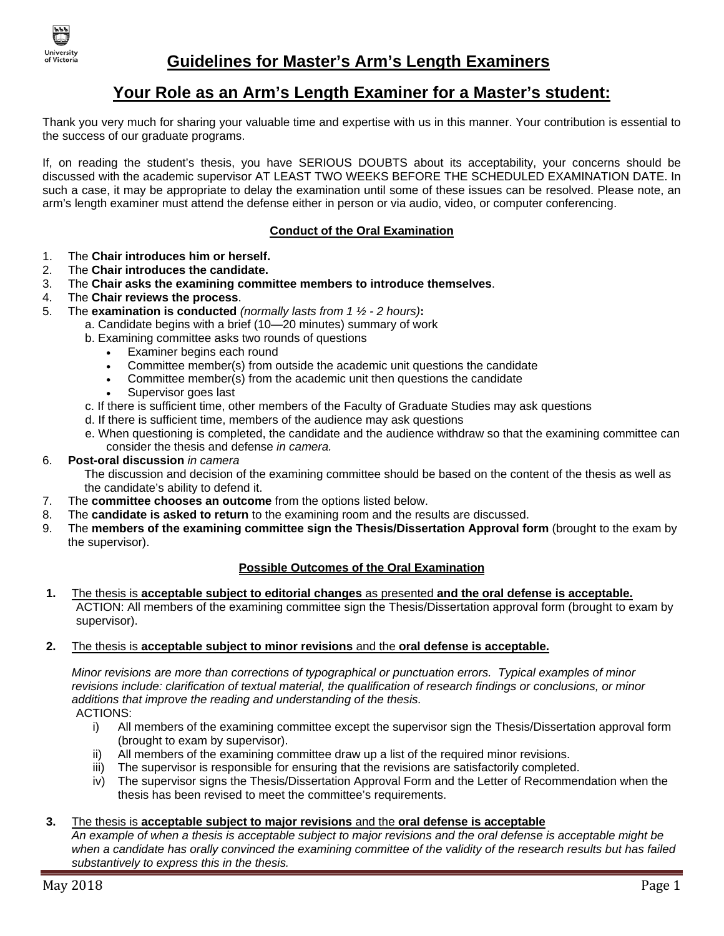

# **Your Role as an Arm's Length Examiner for a Master's student:**

Thank you very much for sharing your valuable time and expertise with us in this manner. Your contribution is essential to the success of our graduate programs.

If, on reading the student's thesis, you have SERIOUS DOUBTS about its acceptability, your concerns should be discussed with the academic supervisor AT LEAST TWO WEEKS BEFORE THE SCHEDULED EXAMINATION DATE. In such a case, it may be appropriate to delay the examination until some of these issues can be resolved. Please note, an arm's length examiner must attend the defense either in person or via audio, video, or computer conferencing.

## **Conduct of the Oral Examination**

- 1. The **Chair introduces him or herself.**
- 2. The **Chair introduces the candidate.**
- 3. The **Chair asks the examining committee members to introduce themselves**.
- 4. The **Chair reviews the process**.
- 5. The **examination is conducted** *(normally lasts from 1 ½ - 2 hours)***:**
	- a. Candidate begins with a brief (10—20 minutes) summary of work
		- b. Examining committee asks two rounds of questions
			- Examiner begins each round
			- Committee member(s) from outside the academic unit questions the candidate
			- Committee member(s) from the academic unit then questions the candidate
			- Supervisor goes last
		- c. If there is sufficient time, other members of the Faculty of Graduate Studies may ask questions
		- d. If there is sufficient time, members of the audience may ask questions
		- e. When questioning is completed, the candidate and the audience withdraw so that the examining committee can consider the thesis and defense *in camera.*

## 6. **Post-oral discussion** *in camera*

The discussion and decision of the examining committee should be based on the content of the thesis as well as the candidate's ability to defend it.

- 7. The **committee chooses an outcome** from the options listed below.
- 8. The **candidate is asked to return** to the examining room and the results are discussed.
- 9. The **members of the examining committee sign the Thesis/Dissertation Approval form** (brought to the exam by the supervisor).

#### **Possible Outcomes of the Oral Examination**

**1.** The thesis is **acceptable subject to editorial changes** as presented **and the oral defense is acceptable.** ACTION: All members of the examining committee sign the Thesis/Dissertation approval form (brought to exam by supervisor).

#### **2.** The thesis is **acceptable subject to minor revisions** and the **oral defense is acceptable.**

*Minor revisions are more than corrections of typographical or punctuation errors. Typical examples of minor revisions include: clarification of textual material, the qualification of research findings or conclusions, or minor additions that improve the reading and understanding of the thesis.*

ACTIONS:

- i) All members of the examining committee except the supervisor sign the Thesis/Dissertation approval form (brought to exam by supervisor).
- ii) All members of the examining committee draw up a list of the required minor revisions.
- iii) The supervisor is responsible for ensuring that the revisions are satisfactorily completed.
- iv) The supervisor signs the Thesis/Dissertation Approval Form and the Letter of Recommendation when the thesis has been revised to meet the committee's requirements.

### **3.** The thesis is **acceptable subject to major revisions** and the **oral defense is acceptable**

*An example of when a thesis is acceptable subject to major revisions and the oral defense is acceptable might be when a candidate has orally convinced the examining committee of the validity of the research results but has failed substantively to express this in the thesis.*